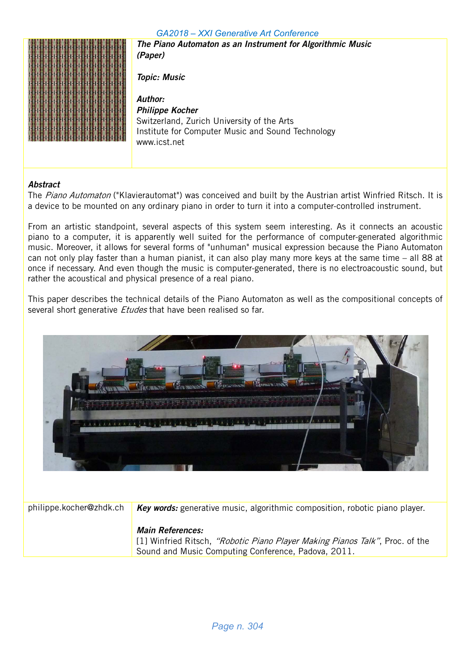

The Piano Automaton as an Instrument for Algorithmic Music (Paper)

Topic: Music

Author: Philippe Kocher Switzerland, Zurich University of the Arts Institute for Computer Music and Sound Technology www.icst.net

#### Abstract

The Piano Automaton ("Klavierautomat") was conceived and built by the Austrian artist Winfried Ritsch. It is a device to be mounted on any ordinary piano in order to turn it into a computer-controlled instrument.

From an artistic standpoint, several aspects of this system seem interesting. As it connects an acoustic piano to a computer, it is apparently well suited for the performance of computer-generated algorithmic music. Moreover, it allows for several forms of "unhuman" musical expression because the Piano Automaton can not only play faster than a human pianist, it can also play many more keys at the same time – all 88 at once if necessary. And even though the music is computer-generated, there is no electroacoustic sound, but rather the acoustical and physical presence of a real piano.

This paper describes the technical details of the Piano Automaton as well as the compositional concepts of several short generative *Etudes* that have been realised so far.



philippe.kocher@zhdk.ch Key words: generative music, algorithmic composition, robotic piano player.

#### Main References:

[1] Winfried Ritsch, "Robotic Piano Player Making Pianos Talk", Proc. of the Sound and Music Computing Conference, Padova, 2011.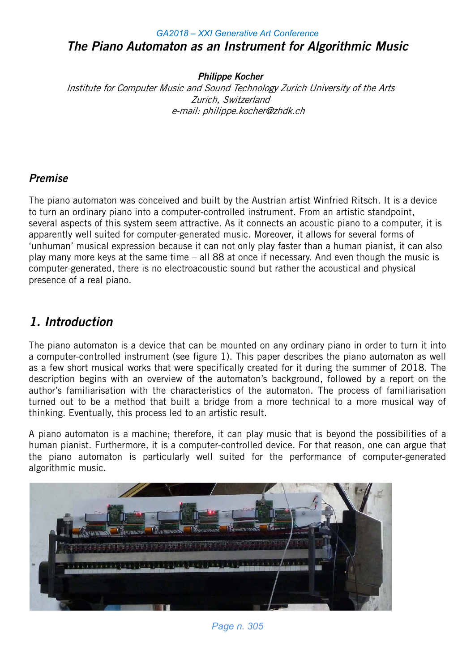### *GA2018 – XXI Generative Art Conference* The Piano Automaton as an Instrument for Algorithmic Music

Philippe Kocher

Institute for Computer Music and Sound Technology Zurich University of the Arts Zurich, Switzerland e-mail: philippe.kocher@zhdk.ch

### Premise

The piano automaton was conceived and built by the Austrian artist Winfried Ritsch. It is a device to turn an ordinary piano into a computer-controlled instrument. From an artistic standpoint, several aspects of this system seem attractive. As it connects an acoustic piano to a computer, it is apparently well suited for computer-generated music. Moreover, it allows for several forms of 'unhuman' musical expression because it can not only play faster than a human pianist, it can also play many more keys at the same time – all 88 at once if necessary. And even though the music is computer-generated, there is no electroacoustic sound but rather the acoustical and physical presence of a real piano.

# 1. Introduction

The piano automaton is a device that can be mounted on any ordinary piano in order to turn it into a computer-controlled instrument (see figure 1). This paper describes the piano automaton as well as a few short musical works that were specifically created for it during the summer of 2018. The description begins with an overview of the automaton's background, followed by a report on the author's familiarisation with the characteristics of the automaton. The process of familiarisation turned out to be a method that built a bridge from a more technical to a more musical way of thinking. Eventually, this process led to an artistic result.

A piano automaton is a machine; therefore, it can play music that is beyond the possibilities of a human pianist. Furthermore, it is a computer-controlled device. For that reason, one can argue that the piano automaton is particularly well suited for the performance of computer-generated algorithmic music.



*Page n. 305*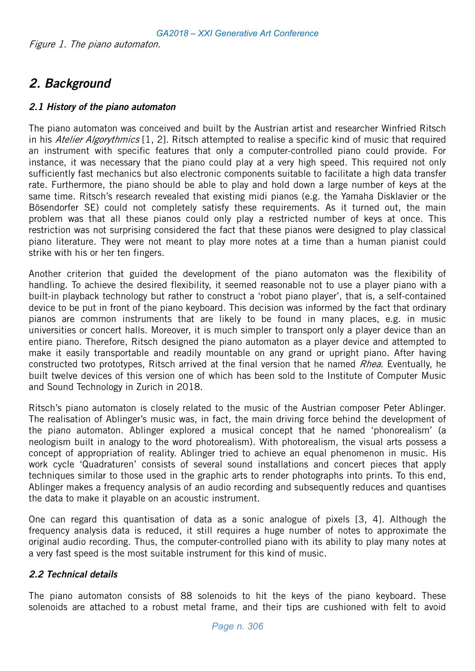# 2. Background

#### 2.1 History of the piano automaton

The piano automaton was conceived and built by the Austrian artist and researcher Winfried Ritsch in his Atelier Algorythmics [1, 2]. Ritsch attempted to realise a specific kind of music that required an instrument with specific features that only a computer-controlled piano could provide. For instance, it was necessary that the piano could play at a very high speed. This required not only sufficiently fast mechanics but also electronic components suitable to facilitate a high data transfer rate. Furthermore, the piano should be able to play and hold down a large number of keys at the same time. Ritsch's research revealed that existing midi pianos (e.g. the Yamaha Disklavier or the Bösendorfer SE) could not completely satisfy these requirements. As it turned out, the main problem was that all these pianos could only play a restricted number of keys at once. This restriction was not surprising considered the fact that these pianos were designed to play classical piano literature. They were not meant to play more notes at a time than a human pianist could strike with his or her ten fingers.

Another criterion that guided the development of the piano automaton was the flexibility of handling. To achieve the desired flexibility, it seemed reasonable not to use a player piano with a built-in playback technology but rather to construct a 'robot piano player', that is, a self-contained device to be put in front of the piano keyboard. This decision was informed by the fact that ordinary pianos are common instruments that are likely to be found in many places, e.g. in music universities or concert halls. Moreover, it is much simpler to transport only a player device than an entire piano. Therefore, Ritsch designed the piano automaton as a player device and attempted to make it easily transportable and readily mountable on any grand or upright piano. After having constructed two prototypes, Ritsch arrived at the final version that he named Rhea. Eventually, he built twelve devices of this version one of which has been sold to the Institute of Computer Music and Sound Technology in Zurich in 2018.

Ritsch's piano automaton is closely related to the music of the Austrian composer Peter Ablinger. The realisation of Ablinger's music was, in fact, the main driving force behind the development of the piano automaton. Ablinger explored a musical concept that he named 'phonorealism' (a neologism built in analogy to the word photorealism). With photorealism, the visual arts possess a concept of appropriation of reality. Ablinger tried to achieve an equal phenomenon in music. His work cycle 'Quadraturen' consists of several sound installations and concert pieces that apply techniques similar to those used in the graphic arts to render photographs into prints. To this end, Ablinger makes a frequency analysis of an audio recording and subsequently reduces and quantises the data to make it playable on an acoustic instrument.

One can regard this quantisation of data as a sonic analogue of pixels [3, 4]. Although the frequency analysis data is reduced, it still requires a huge number of notes to approximate the original audio recording. Thus, the computer-controlled piano with its ability to play many notes at a very fast speed is the most suitable instrument for this kind of music.

### 2.2 Technical details

The piano automaton consists of 88 solenoids to hit the keys of the piano keyboard. These solenoids are attached to a robust metal frame, and their tips are cushioned with felt to avoid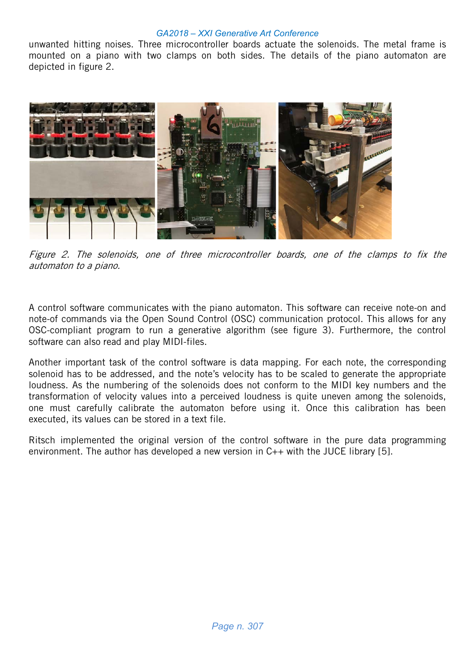unwanted hitting noises. Three microcontroller boards actuate the solenoids. The metal frame is mounted on a piano with two clamps on both sides. The details of the piano automaton are depicted in figure 2.



Figure 2. The solenoids, one of three microcontroller boards, one of the clamps to fix the automaton to a piano.

A control software communicates with the piano automaton. This software can receive note-on and note-of commands via the Open Sound Control (OSC) communication protocol. This allows for any OSC-compliant program to run a generative algorithm (see figure 3). Furthermore, the control software can also read and play MIDI-files.

Another important task of the control software is data mapping. For each note, the corresponding solenoid has to be addressed, and the note's velocity has to be scaled to generate the appropriate loudness. As the numbering of the solenoids does not conform to the MIDI key numbers and the transformation of velocity values into a perceived loudness is quite uneven among the solenoids, one must carefully calibrate the automaton before using it. Once this calibration has been executed, its values can be stored in a text file.

Ritsch implemented the original version of the control software in the pure data programming environment. The author has developed a new version in C++ with the JUCE library [5].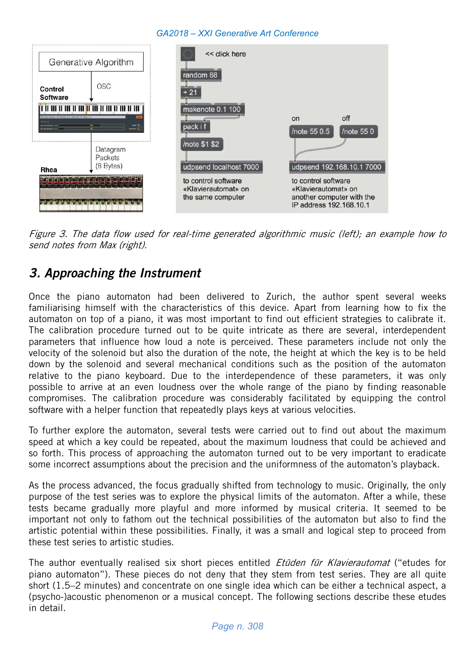

Figure 3. The data flow used for real-time generated algorithmic music (left); an example how to send notes from Max (right).

## 3. Approaching the Instrument

Once the piano automaton had been delivered to Zurich, the author spent several weeks familiarising himself with the characteristics of this device. Apart from learning how to fix the automaton on top of a piano, it was most important to find out efficient strategies to calibrate it. The calibration procedure turned out to be quite intricate as there are several, interdependent parameters that influence how loud a note is perceived. These parameters include not only the velocity of the solenoid but also the duration of the note, the height at which the key is to be held down by the solenoid and several mechanical conditions such as the position of the automaton relative to the piano keyboard. Due to the interdependence of these parameters, it was only possible to arrive at an even loudness over the whole range of the piano by finding reasonable compromises. The calibration procedure was considerably facilitated by equipping the control software with a helper function that repeatedly plays keys at various velocities.

To further explore the automaton, several tests were carried out to find out about the maximum speed at which a key could be repeated, about the maximum loudness that could be achieved and so forth. This process of approaching the automaton turned out to be very important to eradicate some incorrect assumptions about the precision and the uniformness of the automaton's playback.

As the process advanced, the focus gradually shifted from technology to music. Originally, the only purpose of the test series was to explore the physical limits of the automaton. After a while, these tests became gradually more playful and more informed by musical criteria. It seemed to be important not only to fathom out the technical possibilities of the automaton but also to find the artistic potential within these possibilities. Finally, it was a small and logical step to proceed from these test series to artistic studies.

The author eventually realised six short pieces entitled *Etüden für Klavierautomat* ("etudes for piano automaton"). These pieces do not deny that they stem from test series. They are all quite short (1.5–2 minutes) and concentrate on one single idea which can be either a technical aspect, a (psycho-)acoustic phenomenon or a musical concept. The following sections describe these etudes in detail.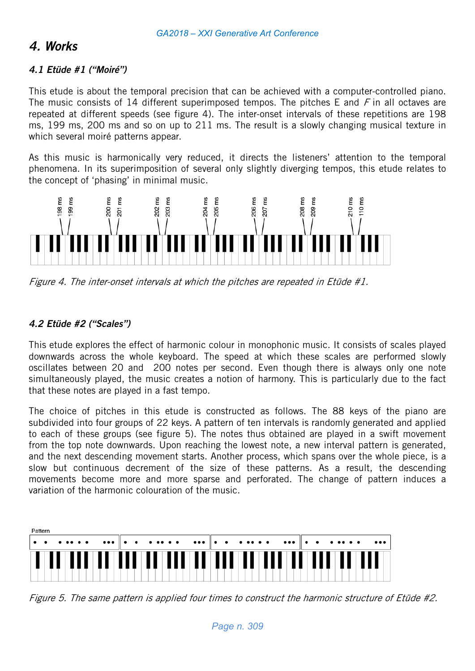## 4. Works

#### 4.1 Etüde #1 ("Moiré")

This etude is about the temporal precision that can be achieved with a computer-controlled piano. The music consists of 14 different superimposed tempos. The pitches E and  $F$  in all octaves are repeated at different speeds (see figure 4). The inter-onset intervals of these repetitions are 198 ms, 199 ms, 200 ms and so on up to 211 ms. The result is a slowly changing musical texture in which several moiré patterns appear.

As this music is harmonically very reduced, it directs the listeners' attention to the temporal phenomena. In its superimposition of several only slightly diverging tempos, this etude relates to the concept of 'phasing' in minimal music.



Figure 4. The inter-onset intervals at which the pitches are repeated in Etüde #1.

#### 4.2 Etüde #2 ("Scales")

This etude explores the effect of harmonic colour in monophonic music. It consists of scales played downwards across the whole keyboard. The speed at which these scales are performed slowly oscillates between 20 and 200 notes per second. Even though there is always only one note simultaneously played, the music creates a notion of harmony. This is particularly due to the fact that these notes are played in a fast tempo.

The choice of pitches in this etude is constructed as follows. The 88 keys of the piano are subdivided into four groups of 22 keys. A pattern of ten intervals is randomly generated and applied to each of these groups (see figure 5). The notes thus obtained are played in a swift movement from the top note downwards. Upon reaching the lowest note, a new interval pattern is generated, and the next descending movement starts. Another process, which spans over the whole piece, is a slow but continuous decrement of the size of these patterns. As a result, the descending movements become more and more sparse and perforated. The change of pattern induces a variation of the harmonic colouration of the music.



Figure 5. The same pattern is applied four times to construct the harmonic structure of Etüde #2.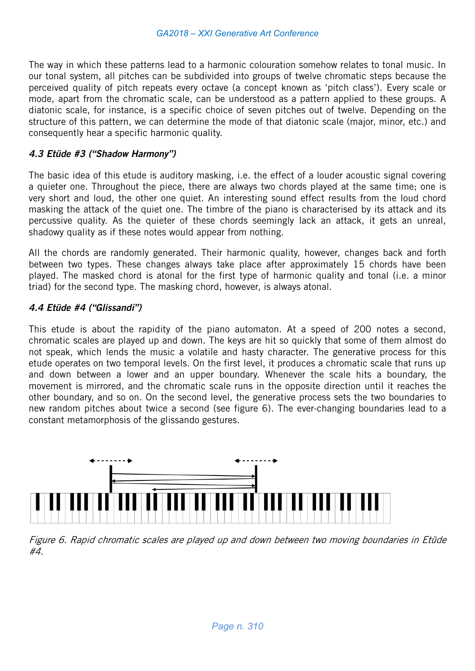The way in which these patterns lead to a harmonic colouration somehow relates to tonal music. In our tonal system, all pitches can be subdivided into groups of twelve chromatic steps because the perceived quality of pitch repeats every octave (a concept known as 'pitch class'). Every scale or mode, apart from the chromatic scale, can be understood as a pattern applied to these groups. A diatonic scale, for instance, is a specific choice of seven pitches out of twelve. Depending on the structure of this pattern, we can determine the mode of that diatonic scale (major, minor, etc.) and consequently hear a specific harmonic quality.

#### 4.3 Etüde #3 ("Shadow Harmony")

The basic idea of this etude is auditory masking, i.e. the effect of a louder acoustic signal covering a quieter one. Throughout the piece, there are always two chords played at the same time; one is very short and loud, the other one quiet. An interesting sound effect results from the loud chord masking the attack of the quiet one. The timbre of the piano is characterised by its attack and its percussive quality. As the quieter of these chords seemingly lack an attack, it gets an unreal, shadowy quality as if these notes would appear from nothing.

All the chords are randomly generated. Their harmonic quality, however, changes back and forth between two types. These changes always take place after approximately 15 chords have been played. The masked chord is atonal for the first type of harmonic quality and tonal (i.e. a minor triad) for the second type. The masking chord, however, is always atonal.

#### 4.4 Etüde #4 ("Glissandi")

This etude is about the rapidity of the piano automaton. At a speed of 200 notes a second, chromatic scales are played up and down. The keys are hit so quickly that some of them almost do not speak, which lends the music a volatile and hasty character. The generative process for this etude operates on two temporal levels. On the first level, it produces a chromatic scale that runs up and down between a lower and an upper boundary. Whenever the scale hits a boundary, the movement is mirrored, and the chromatic scale runs in the opposite direction until it reaches the other boundary, and so on. On the second level, the generative process sets the two boundaries to new random pitches about twice a second (see figure 6). The ever-changing boundaries lead to a constant metamorphosis of the glissando gestures.



Figure 6. Rapid chromatic scales are played up and down between two moving boundaries in Etüde #4.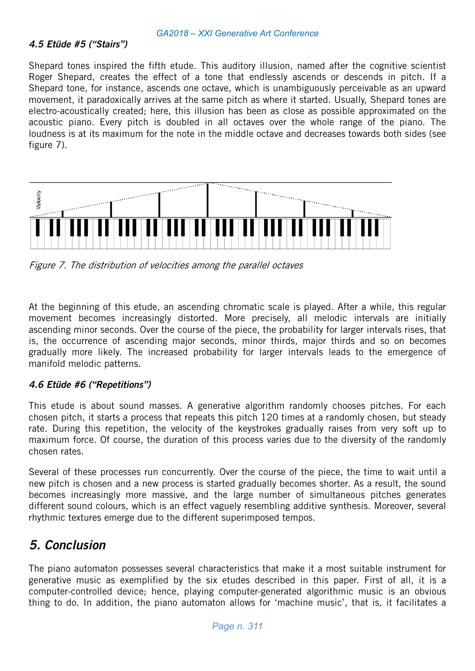#### 4.5 Etüde #5 ("Stairs")

Shepard tones inspired the fifth etude. This auditory illusion, named after the cognitive scientist Roger Shepard, creates the effect of a tone that endlessly ascends or descends in pitch. If a Shepard tone, for instance, ascends one octave, which is unambiguously perceivable as an upward movement, it paradoxically arrives at the same pitch as where it started. Usually, Shepard tones are electro-acoustically created; here, this illusion has been as close as possible approximated on the acoustic piano. Every pitch is doubled in all octaves over the whole range of the piano. The loudness is at its maximum for the note in the middle octave and decreases towards both sides (see figure 7).



Figure 7. The distribution of velocities among the parallel octaves

At the beginning of this etude, an ascending chromatic scale is played. After a while, this regular movement becomes increasingly distorted. More precisely, all melodic intervals are initially ascending minor seconds. Over the course of the piece, the probability for larger intervals rises, that is, the occurrence of ascending major seconds, minor thirds, major thirds and so on becomes gradually more likely. The increased probability for larger intervals leads to the emergence of manifold melodic patterns.

#### 4.6 Etüde #6 ("Repetitions")

This etude is about sound masses. A generative algorithm randomly chooses pitches. For each chosen pitch, it starts a process that repeats this pitch 120 times at a randomly chosen, but steady rate. During this repetition, the velocity of the keystrokes gradually raises from very soft up to maximum force. Of course, the duration of this process varies due to the diversity of the randomly chosen rates.

Several of these processes run concurrently. Over the course of the piece, the time to wait until a new pitch is chosen and a new process is started gradually becomes shorter. As a result, the sound becomes increasingly more massive, and the large number of simultaneous pitches generates different sound colours, which is an effect vaguely resembling additive synthesis. Moreover, several rhythmic textures emerge due to the different superimposed tempos.

## 5. Conclusion

The piano automaton possesses several characteristics that make it a most suitable instrument for generative music as exemplified by the six etudes described in this paper. First of all, it is a computer-controlled device; hence, playing computer-generated algorithmic music is an obvious thing to do. In addition, the piano automaton allows for 'machine music', that is, it facilitates a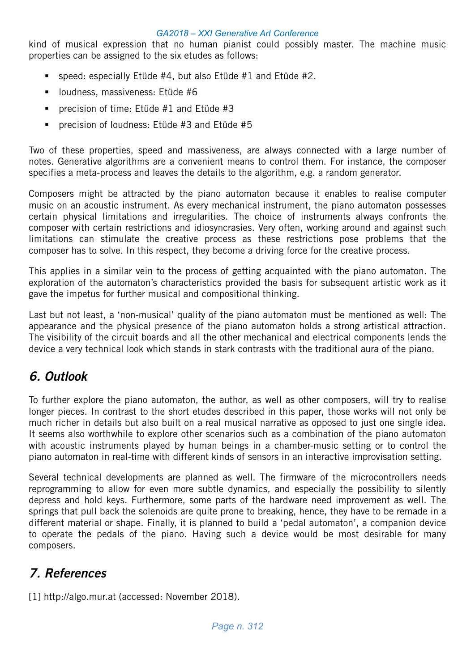kind of musical expression that no human pianist could possibly master. The machine music properties can be assigned to the six etudes as follows:

- **speed: especially Etüde #4, but also Etüde #1 and Etüde #2.**
- **Induction 19 Sepannish** loudness, massiveness: Etüde #6
- **Perich** precision of time: Etüde  $#1$  and Etüde  $#3$
- precision of loudness: Etüde #3 and Etüde #5

Two of these properties, speed and massiveness, are always connected with a large number of notes. Generative algorithms are a convenient means to control them. For instance, the composer specifies a meta-process and leaves the details to the algorithm, e.g. a random generator.

Composers might be attracted by the piano automaton because it enables to realise computer music on an acoustic instrument. As every mechanical instrument, the piano automaton possesses certain physical limitations and irregularities. The choice of instruments always confronts the composer with certain restrictions and idiosyncrasies. Very often, working around and against such limitations can stimulate the creative process as these restrictions pose problems that the composer has to solve. In this respect, they become a driving force for the creative process.

This applies in a similar vein to the process of getting acquainted with the piano automaton. The exploration of the automaton's characteristics provided the basis for subsequent artistic work as it gave the impetus for further musical and compositional thinking.

Last but not least, a 'non-musical' quality of the piano automaton must be mentioned as well: The appearance and the physical presence of the piano automaton holds a strong artistical attraction. The visibility of the circuit boards and all the other mechanical and electrical components lends the device a very technical look which stands in stark contrasts with the traditional aura of the piano.

## 6. Outlook

To further explore the piano automaton, the author, as well as other composers, will try to realise longer pieces. In contrast to the short etudes described in this paper, those works will not only be much richer in details but also built on a real musical narrative as opposed to just one single idea. It seems also worthwhile to explore other scenarios such as a combination of the piano automaton with acoustic instruments played by human beings in a chamber-music setting or to control the piano automaton in real-time with different kinds of sensors in an interactive improvisation setting.

Several technical developments are planned as well. The firmware of the microcontrollers needs reprogramming to allow for even more subtle dynamics, and especially the possibility to silently depress and hold keys. Furthermore, some parts of the hardware need improvement as well. The springs that pull back the solenoids are quite prone to breaking, hence, they have to be remade in a different material or shape. Finally, it is planned to build a 'pedal automaton', a companion device to operate the pedals of the piano. Having such a device would be most desirable for many composers.

# 7. References

[1] http://algo.mur.at (accessed: November 2018).